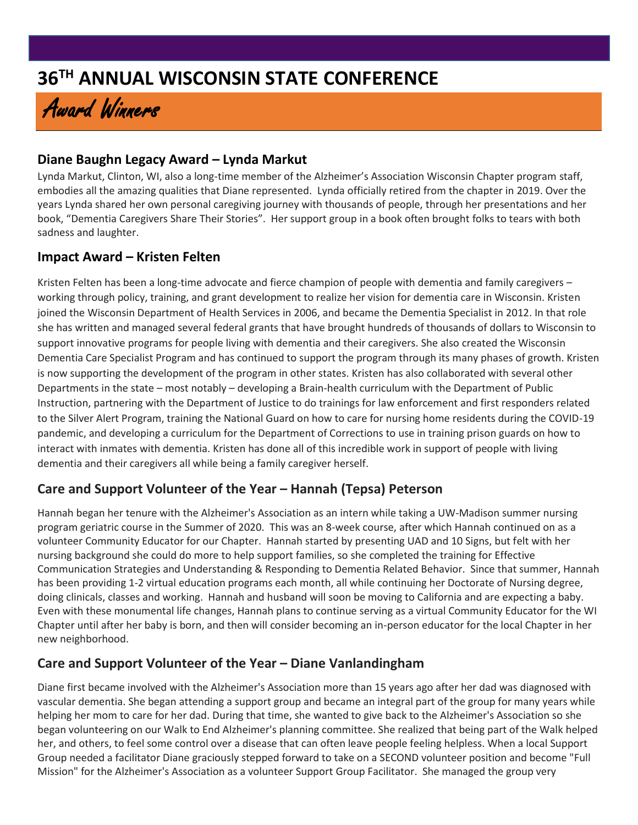# **36TH ANNUAL WISCONSIN STATE CONFERENCE**

# Award Winners

### **Diane Baughn Legacy Award – Lynda Markut**

Lynda Markut, Clinton, WI, also a long-time member of the Alzheimer's Association Wisconsin Chapter program staff, embodies all the amazing qualities that Diane represented. Lynda officially retired from the chapter in 2019. Over the years Lynda shared her own personal caregiving journey with thousands of people, through her presentations and her book, "Dementia Caregivers Share Their Stories". Her support group in a book often brought folks to tears with both sadness and laughter.

#### **Impact Award – Kristen Felten**

Kristen Felten has been a long-time advocate and fierce champion of people with dementia and family caregivers – working through policy, training, and grant development to realize her vision for dementia care in Wisconsin. Kristen joined the Wisconsin Department of Health Services in 2006, and became the Dementia Specialist in 2012. In that role she has written and managed several federal grants that have brought hundreds of thousands of dollars to Wisconsin to support innovative programs for people living with dementia and their caregivers. She also created the Wisconsin Dementia Care Specialist Program and has continued to support the program through its many phases of growth. Kristen is now supporting the development of the program in other states. Kristen has also collaborated with several other Departments in the state – most notably – developing a Brain-health curriculum with the Department of Public Instruction, partnering with the Department of Justice to do trainings for law enforcement and first responders related to the Silver Alert Program, training the National Guard on how to care for nursing home residents during the COVID-19 pandemic, and developing a curriculum for the Department of Corrections to use in training prison guards on how to interact with inmates with dementia. Kristen has done all of this incredible work in support of people with living dementia and their caregivers all while being a family caregiver herself.

# **Care and Support Volunteer of the Year – Hannah (Tepsa) Peterson**

Hannah began her tenure with the Alzheimer's Association as an intern while taking a UW-Madison summer nursing program geriatric course in the Summer of 2020. This was an 8-week course, after which Hannah continued on as a volunteer Community Educator for our Chapter. Hannah started by presenting UAD and 10 Signs, but felt with her nursing background she could do more to help support families, so she completed the training for Effective Communication Strategies and Understanding & Responding to Dementia Related Behavior. Since that summer, Hannah has been providing 1-2 virtual education programs each month, all while continuing her Doctorate of Nursing degree, doing clinicals, classes and working. Hannah and husband will soon be moving to California and are expecting a baby. Even with these monumental life changes, Hannah plans to continue serving as a virtual Community Educator for the WI Chapter until after her baby is born, and then will consider becoming an in-person educator for the local Chapter in her new neighborhood.

# **Care and Support Volunteer of the Year – Diane Vanlandingham**

Diane first became involved with the Alzheimer's Association more than 15 years ago after her dad was diagnosed with vascular dementia. She began attending a support group and became an integral part of the group for many years while helping her mom to care for her dad. During that time, she wanted to give back to the Alzheimer's Association so she began volunteering on our Walk to End Alzheimer's planning committee. She realized that being part of the Walk helped her, and others, to feel some control over a disease that can often leave people feeling helpless. When a local Support Group needed a facilitator Diane graciously stepped forward to take on a SECOND volunteer position and become "Full Mission" for the Alzheimer's Association as a volunteer Support Group Facilitator. She managed the group very